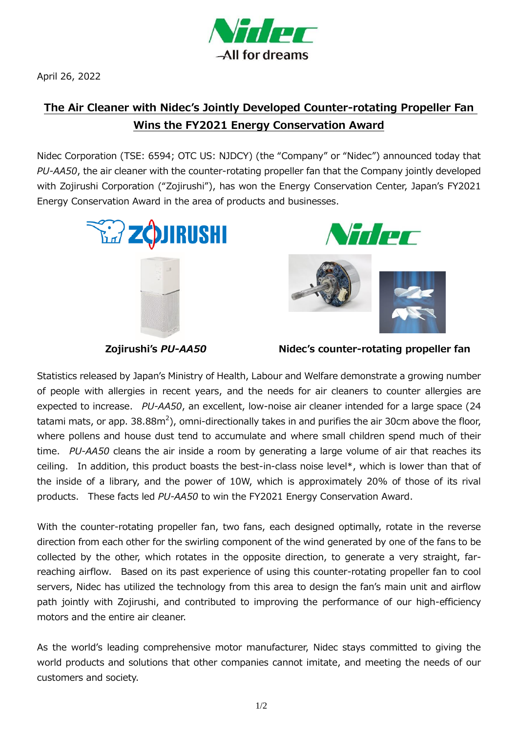

April 26, 2022

## **The Air Cleaner with Nidec's Jointly Developed Counter-rotating Propeller Fan Wins the FY2021 Energy Conservation Award**

Nidec Corporation (TSE: 6594; OTC US: NJDCY) (the "Company" or "Nidec") announced today that *PU-AA50*, the air cleaner with the counter-rotating propeller fan that the Company jointly developed with Zojirushi Corporation ("Zojirushi"), has won the Energy Conservation Center, Japan's FY2021 Energy Conservation Award in the area of products and businesses.





**Zojirushi's** *PU-AA50* **Nidec's counter-rotating propeller fan**

Statistics released by Japan's Ministry of Health, Labour and Welfare demonstrate a growing number of people with allergies in recent years, and the needs for air cleaners to counter allergies are expected to increase. *PU-AA50*, an excellent, low-noise air cleaner intended for a large space (24 tatami mats, or app. 38.88m<sup>2</sup>), omni-directionally takes in and purifies the air 30cm above the floor, where pollens and house dust tend to accumulate and where small children spend much of their time. *PU-AA50* cleans the air inside a room by generating a large volume of air that reaches its ceiling. In addition, this product boasts the best-in-class noise level\*, which is lower than that of the inside of a library, and the power of 10W, which is approximately 20% of those of its rival products. These facts led *PU-AA50* to win the FY2021 Energy Conservation Award.

With the counter-rotating propeller fan, two fans, each designed optimally, rotate in the reverse direction from each other for the swirling component of the wind generated by one of the fans to be collected by the other, which rotates in the opposite direction, to generate a very straight, farreaching airflow. Based on its past experience of using this counter-rotating propeller fan to cool servers, Nidec has utilized the technology from this area to design the fan's main unit and airflow path jointly with Zojirushi, and contributed to improving the performance of our high-efficiency motors and the entire air cleaner.

As the world's leading comprehensive motor manufacturer, Nidec stays committed to giving the world products and solutions that other companies cannot imitate, and meeting the needs of our customers and society.